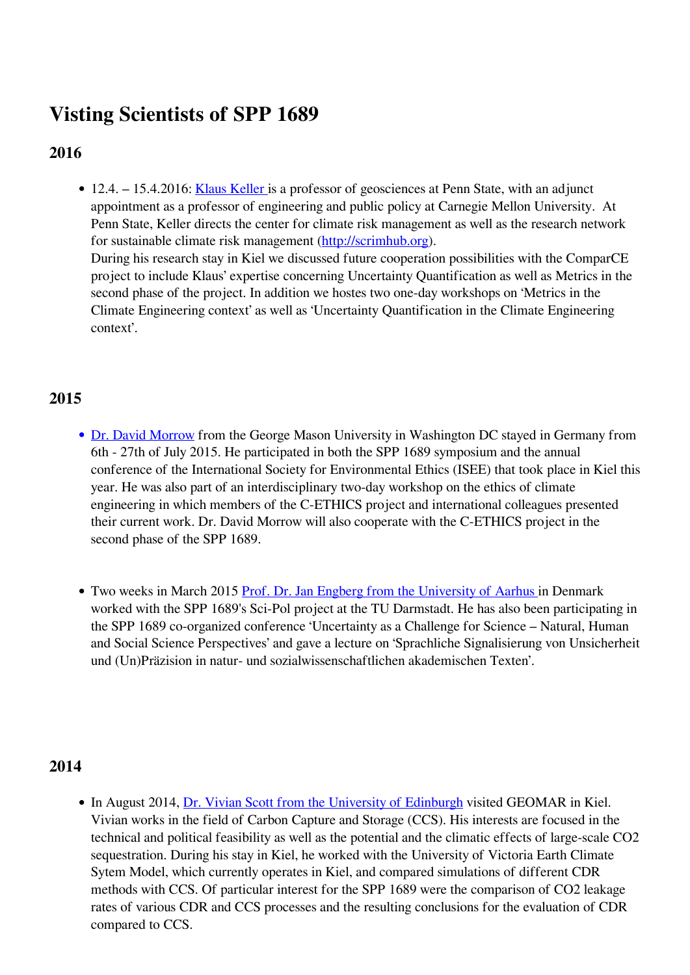## **Visting Scientists of SPP 1689**

## **2016**

• 12.4. – 15.4.2016: [Klaus Keller](http://www3.geosc.psu.edu/~kzk10/) is a professor of geosciences at Penn State, with an adjunct appointment as a professor of engineering and public policy at Carnegie Mellon University. At Penn State, Keller directs the center for climate risk management as well as the research network for sustainable climate risk management ([http://scrimhub.org\)](http://scrimhub.org/). During his research stay in Kiel we discussed future cooperation possibilities with the ComparCE project to include Klaus' expertise concerning Uncertainty Quantification as well as Metrics in the second phase of the project. In addition we hostes two one-day workshops on 'Metrics in the Climate Engineering context' as well as 'Uncertainty Quantification in the Climate Engineering context'.

## **2015**

- [Dr. David Morrow](http://www.davidmorrow.net/david_morrow_cv) from the George Mason University in Washington DC stayed in Germany from 6th - 27th of July 2015. He participated in both the SPP 1689 symposium and the annual conference of the International Society for Environmental Ethics (ISEE) that took place in Kiel this year. He was also part of an interdisciplinary two-day workshop on the ethics of climate engineering in which members of the C-ETHICS project and international colleagues presented their current work. Dr. David Morrow will also cooperate with the C-ETHICS project in the second phase of the SPP 1689.
- Two weeks in March 2015 [Prof. Dr. Jan Engberg from the University of Aarhus](http://pure.au.dk/portal/en/je@bcom.au.dk) in Denmark worked with the SPP 1689's Sci-Pol project at the TU Darmstadt. He has also been participating in the SPP 1689 co-organized conference 'Uncertainty as a Challenge for Science – Natural, Human and Social Science Perspectives' and gave a lecture on 'Sprachliche Signalisierung von Unsicherheit und (Un)Präzision in natur- und sozialwissenschaftlichen akademischen Texten'.

## **2014**

• In August 2014, [Dr. Vivian Scott from the University of Edinburgh](http://www.ed.ac.uk/schools-departments/geosciences/people?indv=2489) visited GEOMAR in Kiel. Vivian works in the field of Carbon Capture and Storage (CCS). His interests are focused in the technical and political feasibility as well as the potential and the climatic effects of large-scale CO2 sequestration. During his stay in Kiel, he worked with the University of Victoria Earth Climate Sytem Model, which currently operates in Kiel, and compared simulations of different CDR methods with CCS. Of particular interest for the SPP 1689 were the comparison of CO2 leakage rates of various CDR and CCS processes and the resulting conclusions for the evaluation of CDR compared to CCS.